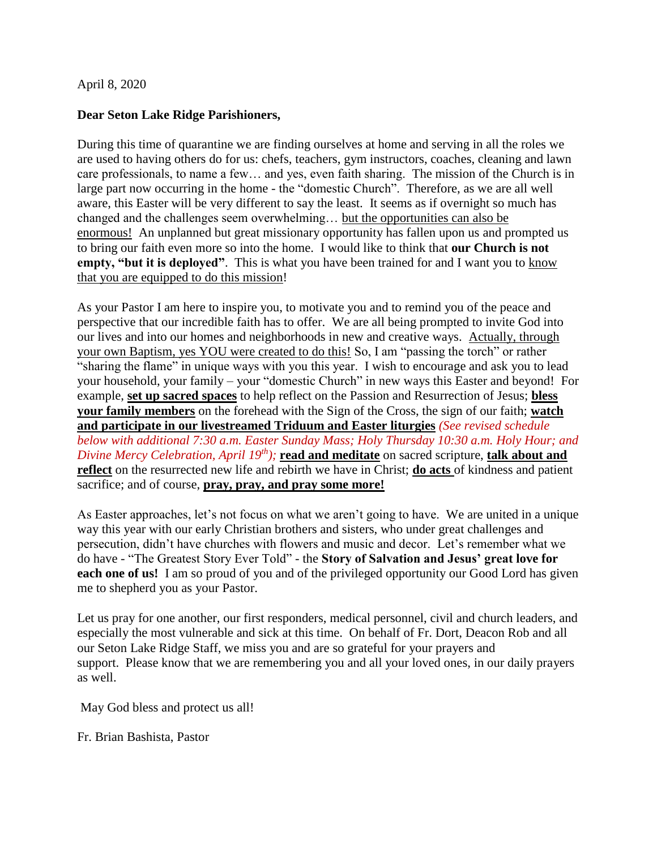#### April 8, 2020

#### **Dear Seton Lake Ridge Parishioners,**

During this time of quarantine we are finding ourselves at home and serving in all the roles we are used to having others do for us: chefs, teachers, gym instructors, coaches, cleaning and lawn care professionals, to name a few… and yes, even faith sharing. The mission of the Church is in large part now occurring in the home - the "domestic Church". Therefore, as we are all well aware, this Easter will be very different to say the least. It seems as if overnight so much has changed and the challenges seem overwhelming… but the opportunities can also be enormous! An unplanned but great missionary opportunity has fallen upon us and prompted us to bring our faith even more so into the home. I would like to think that **our Church is not empty, "but it is deployed"**. This is what you have been trained for and I want you to know that you are equipped to do this mission!

As your Pastor I am here to inspire you, to motivate you and to remind you of the peace and perspective that our incredible faith has to offer. We are all being prompted to invite God into our lives and into our homes and neighborhoods in new and creative ways. Actually, through your own Baptism, yes YOU were created to do this! So, I am "passing the torch" or rather "sharing the flame" in unique ways with you this year. I wish to encourage and ask you to lead your household, your family – your "domestic Church" in new ways this Easter and beyond! For example, **set up sacred spaces** to help reflect on the Passion and Resurrection of Jesus; **bless your family members** on the forehead with the Sign of the Cross, the sign of our faith; **watch and participate in our livestreamed Triduum and Easter liturgies** *(See revised schedule below with additional 7:30 a.m. Easter Sunday Mass; Holy Thursday 10:30 a.m. Holy Hour; and Divine Mercy Celebration, April 19th);* **read and meditate** on sacred scripture, **talk about and reflect** on the resurrected new life and rebirth we have in Christ; **do acts** of kindness and patient sacrifice; and of course, **pray, pray, and pray some more!**

As Easter approaches, let's not focus on what we aren't going to have. We are united in a unique way this year with our early Christian brothers and sisters, who under great challenges and persecution, didn't have churches with flowers and music and decor. Let's remember what we do have - "The Greatest Story Ever Told" - the **Story of Salvation and Jesus' great love for each one of us!** I am so proud of you and of the privileged opportunity our Good Lord has given me to shepherd you as your Pastor.

Let us pray for one another, our first responders, medical personnel, civil and church leaders, and especially the most vulnerable and sick at this time. On behalf of Fr. Dort, Deacon Rob and all our Seton Lake Ridge Staff, we miss you and are so grateful for your prayers and support. Please know that we are remembering you and all your loved ones, in our daily prayers as well.

May God bless and protect us all!

Fr. Brian Bashista, Pastor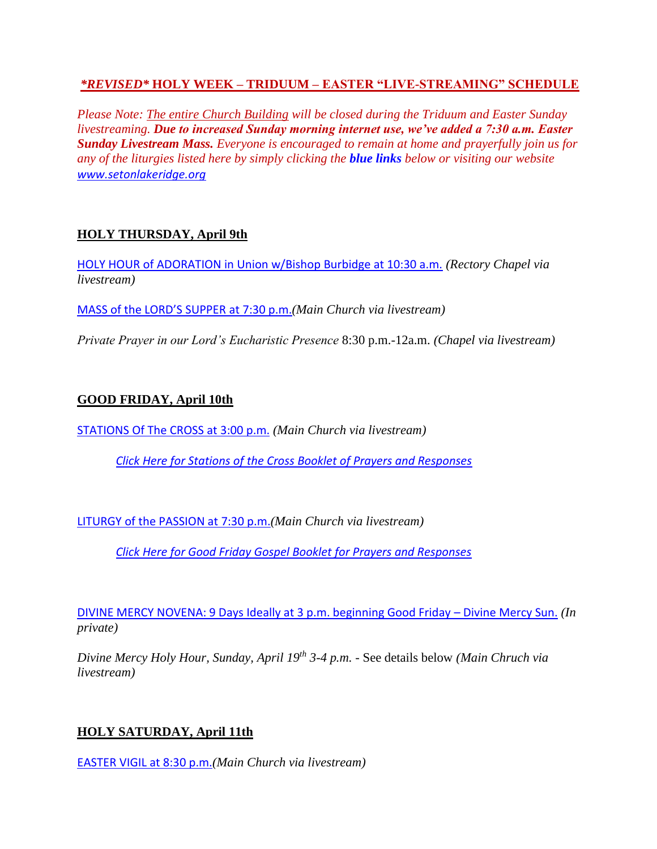### *\*REVISED\** **HOLY WEEK – TRIDUUM – EASTER "LIVE-STREAMING" SCHEDULE**

*Please Note: The entire Church Building will be closed during the Triduum and Easter Sunday livestreaming. Due to increased Sunday morning internet use, we've added a 7:30 a.m. Easter Sunday Livestream Mass. Everyone is encouraged to remain at home and prayerfully join us for any of the liturgies listed here by simply clicking the blue links below or visiting our website www.setonlakeridge.org*

## **HOLY THURSDAY, April 9th**

HOLY HOUR of ADORATION in Union w/Bishop Burbidge at 10:30 a.m. *(Rectory Chapel via livestream)*

MASS of the LORD'S SUPPER at 7:30 p.m.*(Main Church via livestream)*

*Private Prayer in our Lord's Eucharistic Presence* 8:30 p.m.-12a.m. *(Chapel via livestream)*

## **GOOD FRIDAY, April 10th**

STATIONS Of The CROSS at 3:00 p.m. *(Main Church via livestream)*

*Click Here for Stations of the Cross Booklet of Prayers and Responses*

LITURGY of the PASSION at 7:30 p.m.*(Main Church via livestream)*

*Click Here for Good Friday Gospel Booklet for Prayers and Responses*

DIVINE MERCY NOVENA: 9 Days Ideally at 3 p.m. beginning Good Friday – Divine Mercy Sun. *(In private)*

*Divine Mercy Holy Hour, Sunday, April 19th 3-4 p.m. -* See details below *(Main Chruch via livestream)*

## **HOLY SATURDAY, April 11th**

EASTER VIGIL at 8:30 p.m.*(Main Church via livestream)*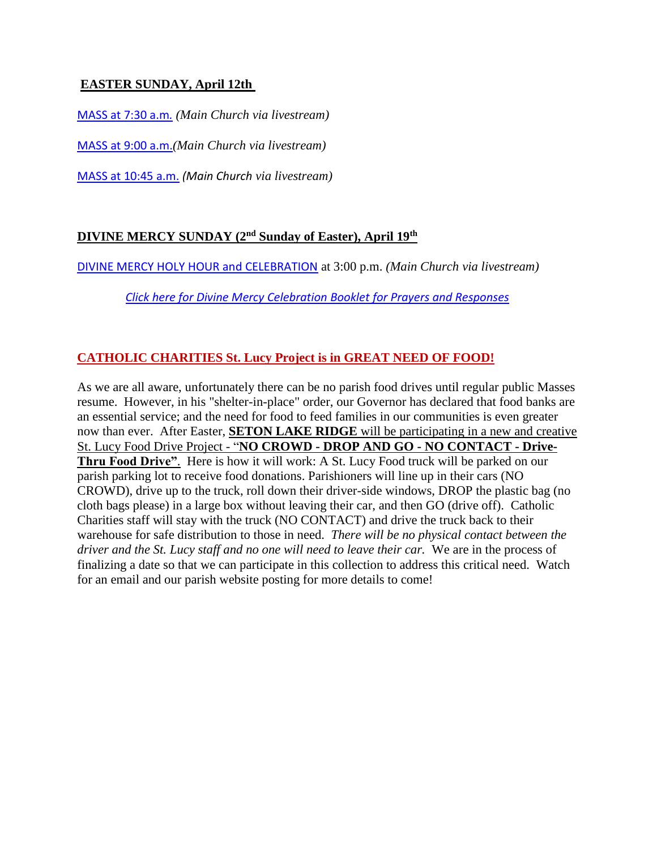## **EASTER SUNDAY, April 12th**

MASS at 7:30 a.m*. (Main Church via livestream)*

MASS at 9:00 a.m.*(Main Church via livestream)*

MASS at 10:45 a.m. *(Main Church via livestream)*

## **DIVINE MERCY SUNDAY (2nd Sunday of Easter), April 19th**

DIVINE MERCY HOLY HOUR and CELEBRATION at 3:00 p.m. *(Main Church via livestream)*

 *Click here for Divine Mercy Celebration Booklet for Prayers and Responses*

# **CATHOLIC CHARITIES St. Lucy Project is in GREAT NEED OF FOOD!**

As we are all aware, unfortunately there can be no parish food drives until regular public Masses resume. However, in his "shelter-in-place" order, our Governor has declared that food banks are an essential service; and the need for food to feed families in our communities is even greater now than ever. After Easter, **SETON LAKE RIDGE** will be participating in a new and creative St. Lucy Food Drive Project - "**NO CROWD - DROP AND GO - NO CONTACT - Drive-Thru Food Drive"**. Here is how it will work: A St. Lucy Food truck will be parked on our parish parking lot to receive food donations. Parishioners will line up in their cars (NO CROWD), drive up to the truck, roll down their driver-side windows, DROP the plastic bag (no cloth bags please) in a large box without leaving their car, and then GO (drive off). Catholic Charities staff will stay with the truck (NO CONTACT) and drive the truck back to their warehouse for safe distribution to those in need. *There will be no physical contact between the driver and the St. Lucy staff and no one will need to leave their car.* We are in the process of finalizing a date so that we can participate in this collection to address this critical need. Watch for an email and our parish website posting for more details to come!